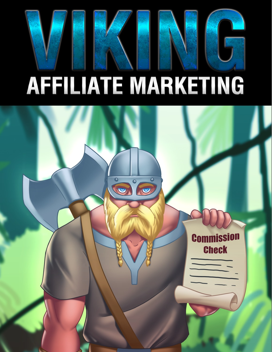

### AFFILIATE MARKETING

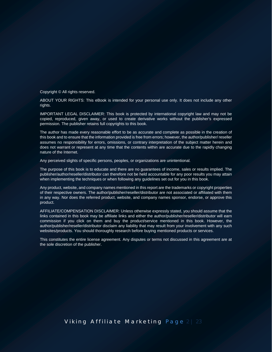Copyright © All rights reserved.

ABOUT YOUR RIGHTS: This eBook is intended for your personal use only. It does not include any other rights.

IMPORTANT LEGAL DISCLAIMER: This book is protected by international copyright law and may not be copied, reproduced, given away, or used to create derivative works without the publisher's expressed permission. The publisher retains full copyrights to this book.

The author has made every reasonable effort to be as accurate and complete as possible in the creation of this book and to ensure that the information provided is free from errors; however, the author/publisher/ reseller assumes no responsibility for errors, omissions, or contrary interpretation of the subject matter herein and does not warrant or represent at any time that the contents within are accurate due to the rapidly changing nature of the Internet.

Any perceived slights of specific persons, peoples, or organizations are unintentional.

The purpose of this book is to educate and there are no guarantees of income, sales or results implied. The publisher/author/reseller/distributor can therefore not be held accountable for any poor results you may attain when implementing the techniques or when following any guidelines set out for you in this book.

Any product, website, and company names mentioned in this report are the trademarks or copyright properties of their respective owners. The author/publisher/reseller/distributor are not associated or affiliated with them in any way. Nor does the referred product, website, and company names sponsor, endorse, or approve this product.

AFFILIATE/COMPENSATION DISCLAIMER: Unless otherwise expressly stated, you should assume that the links contained in this book may be affiliate links and either the author/publisher/reseller/distributor will earn commission if you click on them and buy the product/service mentioned in this book. However, the author/publisher/reseller/distributor disclaim any liability that may result from your involvement with any such websites/products. You should thoroughly research before buying mentioned products or services.

This constitutes the entire license agreement. Any disputes or terms not discussed in this agreement are at the sole discretion of the publisher.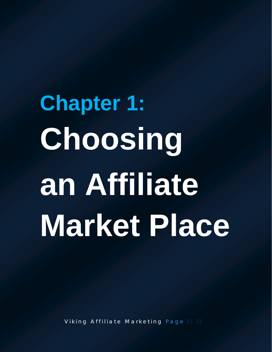**Chapter 1: Choosing an Affiliate Market Place**

Viking Affiliate Marketing Page 3 23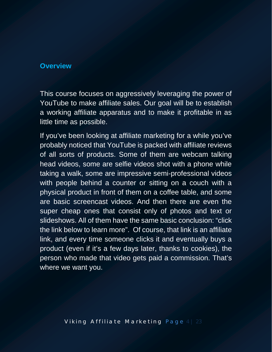#### **Overview**

This course focuses on aggressively leveraging the power of YouTube to make affiliate sales. Our goal will be to establish a working affiliate apparatus and to make it profitable in as little time as possible.

If you've been looking at affiliate marketing for a while you've probably noticed that YouTube is packed with affiliate reviews of all sorts of products. Some of them are webcam talking head videos, some are selfie videos shot with a phone while taking a walk, some are impressive semi-professional videos with people behind a counter or sitting on a couch with a physical product in front of them on a coffee table, and some are basic screencast videos. And then there are even the super cheap ones that consist only of photos and text or slideshows. All of them have the same basic conclusion: "click the link below to learn more". Of course, that link is an affiliate link, and every time someone clicks it and eventually buys a product (even if it's a few days later, thanks to cookies), the person who made that video gets paid a commission. That's where we want you.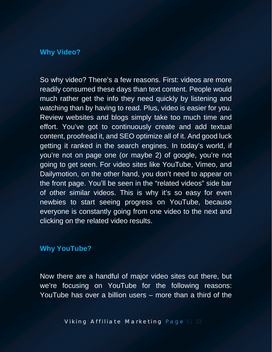#### **Why Video?**

So why video? There's a few reasons. First: videos are more readily consumed these days than text content. People would much rather get the info they need quickly by listening and watching than by having to read. Plus, video is easier for you. Review websites and blogs simply take too much time and effort. You've got to continuously create and add textual content, proofread it, and SEO optimize all of it. And good luck getting it ranked in the search engines. In today's world, if you're not on page one (or maybe 2) of google, you're not going to get seen. For video sites like YouTube, Vimeo, and Dailymotion, on the other hand, you don't need to appear on the front page. You'll be seen in the "related videos" side bar of other similar videos. This is why it's so easy for even newbies to start seeing progress on YouTube, because everyone is constantly going from one video to the next and clicking on the related video results.

#### **Why YouTube?**

Now there are a handful of major video sites out there, but we're focusing on YouTube for the following reasons: YouTube has over a billion users – more than a third of the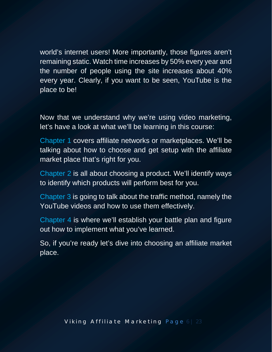world's internet users! More importantly, those figures aren't remaining static. Watch time increases by 50% every year and the number of people using the site increases about 40% every year. Clearly, if you want to be seen, YouTube is the place to be!

Now that we understand why we're using video marketing, let's have a look at what we'll be learning in this course:

Chapter 1 covers affiliate networks or marketplaces. We'll be talking about how to choose and get setup with the affiliate market place that's right for you.

Chapter 2 is all about choosing a product. We'll identify ways to identify which products will perform best for you.

Chapter 3 is going to talk about the traffic method, namely the YouTube videos and how to use them effectively.

Chapter 4 is where we'll establish your battle plan and figure out how to implement what you've learned.

So, if you're ready let's dive into choosing an affiliate market place.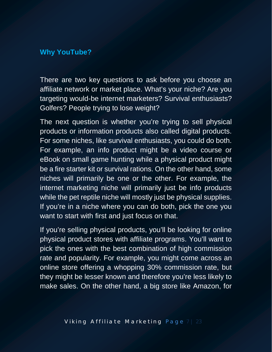#### **Why YouTube?**

There are two key questions to ask before you choose an affiliate network or market place. What's your niche? Are you targeting would-be internet marketers? Survival enthusiasts? Golfers? People trying to lose weight?

The next question is whether you're trying to sell physical products or information products also called digital products. For some niches, like survival enthusiasts, you could do both. For example, an info product might be a video course or eBook on small game hunting while a physical product might be a fire starter kit or survival rations. On the other hand, some niches will primarily be one or the other. For example, the internet marketing niche will primarily just be info products while the pet reptile niche will mostly just be physical supplies. If you're in a niche where you can do both, pick the one you want to start with first and just focus on that.

If you're selling physical products, you'll be looking for online physical product stores with affiliate programs. You'll want to pick the ones with the best combination of high commission rate and popularity. For example, you might come across an online store offering a whopping 30% commission rate, but they might be lesser known and therefore you're less likely to make sales. On the other hand, a big store like Amazon, for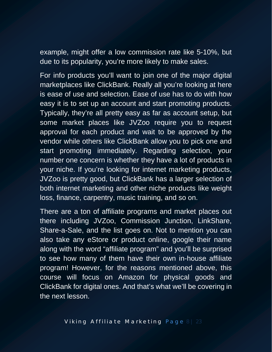example, might offer a low commission rate like 5-10%, but due to its popularity, you're more likely to make sales.

For info products you'll want to join one of the major digital marketplaces like ClickBank. Really all you're looking at here is ease of use and selection. Ease of use has to do with how easy it is to set up an account and start promoting products. Typically, they're all pretty easy as far as account setup, but some market places like JVZoo require you to request approval for each product and wait to be approved by the vendor while others like ClickBank allow you to pick one and start promoting immediately. Regarding selection, your number one concern is whether they have a lot of products in your niche. If you're looking for internet marketing products, JVZoo is pretty good, but ClickBank has a larger selection of both internet marketing and other niche products like weight loss, finance, carpentry, music training, and so on.

There are a ton of affiliate programs and market places out there including JVZoo, Commission Junction, LinkShare, Share-a-Sale, and the list goes on. Not to mention you can also take any eStore or product online, google their name along with the word "affiliate program" and you'll be surprised to see how many of them have their own in-house affiliate program! However, for the reasons mentioned above, this course will focus on Amazon for physical goods and ClickBank for digital ones. And that's what we'll be covering in the next lesson.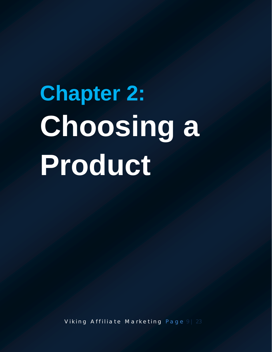## **Chapter 2: Choosing a Product**

Viking Affiliate Marketing Page 9 | 23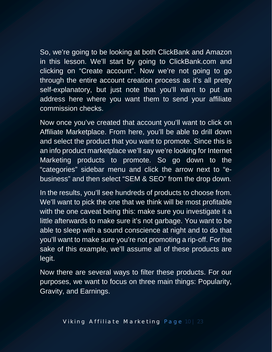So, we're going to be looking at both ClickBank and Amazon in this lesson. We'll start by going to ClickBank.com and clicking on "Create account". Now we're not going to go through the entire account creation process as it's all pretty self-explanatory, but just note that you'll want to put an address here where you want them to send your affiliate commission checks.

Now once you've created that account you'll want to click on Affiliate Marketplace. From here, you'll be able to drill down and select the product that you want to promote. Since this is an info product marketplace we'll say we're looking for Internet Marketing products to promote. So go down to the "categories" sidebar menu and click the arrow next to "ebusiness" and then select "SEM & SEO" from the drop down.

In the results, you'll see hundreds of products to choose from. We'll want to pick the one that we think will be most profitable with the one caveat being this: make sure you investigate it a little afterwards to make sure it's not garbage. You want to be able to sleep with a sound conscience at night and to do that you'll want to make sure you're not promoting a rip-off. For the sake of this example, we'll assume all of these products are legit.

Now there are several ways to filter these products. For our purposes, we want to focus on three main things: Popularity, Gravity, and Earnings.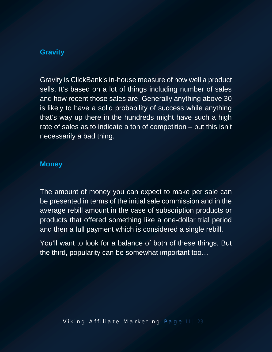#### **Gravity**

Gravity is ClickBank's in-house measure of how well a product sells. It's based on a lot of things including number of sales and how recent those sales are. Generally anything above 30 is likely to have a solid probability of success while anything that's way up there in the hundreds might have such a high rate of sales as to indicate a ton of competition – but this isn't necessarily a bad thing.

#### **Money**

The amount of money you can expect to make per sale can be presented in terms of the initial sale commission and in the average rebill amount in the case of subscription products or products that offered something like a one-dollar trial period and then a full payment which is considered a single rebill.

You'll want to look for a balance of both of these things. But the third, popularity can be somewhat important too…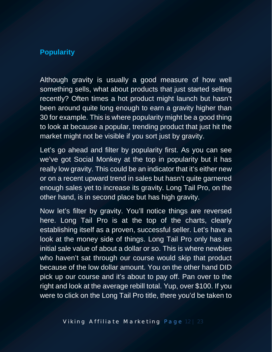#### **Popularity**

Although gravity is usually a good measure of how well something sells, what about products that just started selling recently? Often times a hot product might launch but hasn't been around quite long enough to earn a gravity higher than 30 for example. This is where popularity might be a good thing to look at because a popular, trending product that just hit the market might not be visible if you sort just by gravity.

Let's go ahead and filter by popularity first. As you can see we've got Social Monkey at the top in popularity but it has really low gravity. This could be an indicator that it's either new or on a recent upward trend in sales but hasn't quite garnered enough sales yet to increase its gravity. Long Tail Pro, on the other hand, is in second place but has high gravity.

Now let's filter by gravity. You'll notice things are reversed here. Long Tail Pro is at the top of the charts, clearly establishing itself as a proven, successful seller. Let's have a look at the money side of things. Long Tail Pro only has an initial sale value of about a dollar or so. This is where newbies who haven't sat through our course would skip that product because of the low dollar amount. You on the other hand DID pick up our course and it's about to pay off. Pan over to the right and look at the average rebill total. Yup, over \$100. If you were to click on the Long Tail Pro title, there you'd be taken to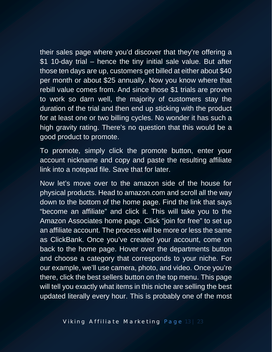their sales page where you'd discover that they're offering a \$1 10-day trial – hence the tiny initial sale value. But after those ten days are up, customers get billed at either about \$40 per month or about \$25 annually. Now you know where that rebill value comes from. And since those \$1 trials are proven to work so darn well, the majority of customers stay the duration of the trial and then end up sticking with the product for at least one or two billing cycles. No wonder it has such a high gravity rating. There's no question that this would be a good product to promote.

To promote, simply click the promote button, enter your account nickname and copy and paste the resulting affiliate link into a notepad file. Save that for later.

Now let's move over to the amazon side of the house for physical products. Head to amazon.com and scroll all the way down to the bottom of the home page. Find the link that says "become an affiliate" and click it. This will take you to the Amazon Associates home page. Click "join for free" to set up an affiliate account. The process will be more or less the same as ClickBank. Once you've created your account, come on back to the home page. Hover over the departments button and choose a category that corresponds to your niche. For our example, we'll use camera, photo, and video. Once you're there, click the best sellers button on the top menu. This page will tell you exactly what items in this niche are selling the best updated literally every hour. This is probably one of the most

Viking Affiliate Marketing Page 13 | 23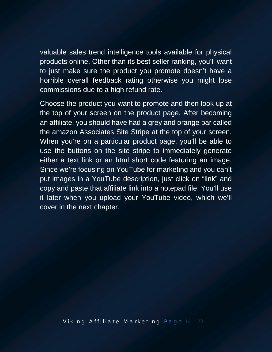valuable sales trend intelligence tools available for physical products online. Other than its best seller ranking, you'll want to just make sure the product you promote doesn't have a horrible overall feedback rating otherwise you might lose commissions due to a high refund rate.

Choose the product you want to promote and then look up at the top of your screen on the product page. After becoming an affiliate, you should have had a grey and orange bar called the amazon Associates Site Stripe at the top of your screen. When you're on a particular product page, you'll be able to use the buttons on the site stripe to immediately generate either a text link or an html short code featuring an image. Since we're focusing on YouTube for marketing and you can't put images in a YouTube description, just click on "link" and copy and paste that affiliate link into a notepad file. You'll use it later when you upload your YouTube video, which we'll cover in the next chapter.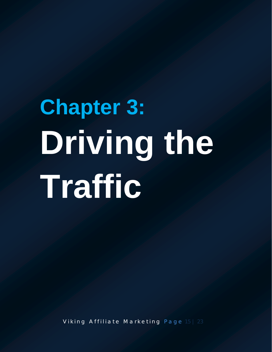# **Chapter 3: Driving the Traffic**

Viking Affiliate Marketing Page 15 | 23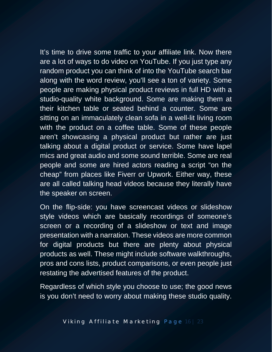It's time to drive some traffic to your affiliate link. Now there are a lot of ways to do video on YouTube. If you just type any random product you can think of into the YouTube search bar along with the word review, you'll see a ton of variety. Some people are making physical product reviews in full HD with a studio-quality white background. Some are making them at their kitchen table or seated behind a counter. Some are sitting on an immaculately clean sofa in a well-lit living room with the product on a coffee table. Some of these people aren't showcasing a physical product but rather are just talking about a digital product or service. Some have lapel mics and great audio and some sound terrible. Some are real people and some are hired actors reading a script "on the cheap" from places like Fiverr or Upwork. Either way, these are all called talking head videos because they literally have the speaker on screen.

On the flip-side: you have screencast videos or slideshow style videos which are basically recordings of someone's screen or a recording of a slideshow or text and image presentation with a narration. These videos are more common for digital products but there are plenty about physical products as well. These might include software walkthroughs, pros and cons lists, product comparisons, or even people just restating the advertised features of the product.

Regardless of which style you choose to use; the good news is you don't need to worry about making these studio quality.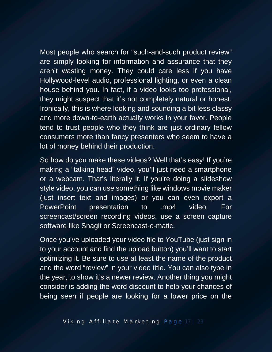Most people who search for "such-and-such product review" are simply looking for information and assurance that they aren't wasting money. They could care less if you have Hollywood-level audio, professional lighting, or even a clean house behind you. In fact, if a video looks too professional, they might suspect that it's not completely natural or honest. Ironically, this is where looking and sounding a bit less classy and more down-to-earth actually works in your favor. People tend to trust people who they think are just ordinary fellow consumers more than fancy presenters who seem to have a lot of money behind their production.

So how do you make these videos? Well that's easy! If you're making a "talking head" video, you'll just need a smartphone or a webcam. That's literally it. If you're doing a slideshow style video, you can use something like windows movie maker (just insert text and images) or you can even export a PowerPoint presentation to .mp4 video. For screencast/screen recording videos, use a screen capture software like Snagit or Screencast-o-matic.

Once you've uploaded your video file to YouTube (just sign in to your account and find the upload button) you'll want to start optimizing it. Be sure to use at least the name of the product and the word "review" in your video title. You can also type in the year, to show it's a newer review. Another thing you might consider is adding the word discount to help your chances of being seen if people are looking for a lower price on the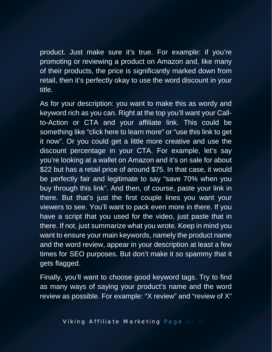product. Just make sure it's true. For example: if you're promoting or reviewing a product on Amazon and, like many of their products, the price is significantly marked down from retail, then it's perfectly okay to use the word discount in your title.

As for your description: you want to make this as wordy and keyword rich as you can. Right at the top you'll want your Callto-Action or CTA and your affiliate link. This could be something like "click here to learn more" or "use this link to get it now". Or you could get a little more creative and use the discount percentage in your CTA. For example, let's say you're looking at a wallet on Amazon and it's on sale for about \$22 but has a retail price of around \$75. In that case, it would be perfectly fair and legitimate to say "save 70% when you buy through this link". And then, of course, paste your link in there. But that's just the first couple lines you want your viewers to see. You'll want to pack even more in there. If you have a script that you used for the video, just paste that in there. If not, just summarize what you wrote. Keep in mind you want to ensure your main keywords, namely the product name and the word review, appear in your description at least a few times for SEO purposes. But don't make it so spammy that it gets flagged.

Finally, you'll want to choose good keyword tags. Try to find as many ways of saying your product's name and the word review as possible. For example: "X review" and "review of X"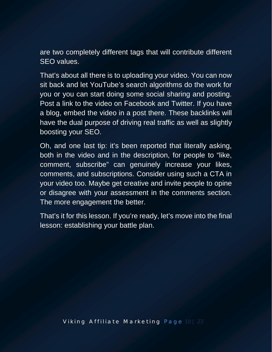are two completely different tags that will contribute different SEO values.

That's about all there is to uploading your video. You can now sit back and let YouTube's search algorithms do the work for you or you can start doing some social sharing and posting. Post a link to the video on Facebook and Twitter. If you have a blog, embed the video in a post there. These backlinks will have the dual purpose of driving real traffic as well as slightly boosting your SEO.

Oh, and one last tip: it's been reported that literally asking, both in the video and in the description, for people to "like, comment, subscribe" can genuinely increase your likes, comments, and subscriptions. Consider using such a CTA in your video too. Maybe get creative and invite people to opine or disagree with your assessment in the comments section. The more engagement the better.

That's it for this lesson. If you're ready, let's move into the final lesson: establishing your battle plan.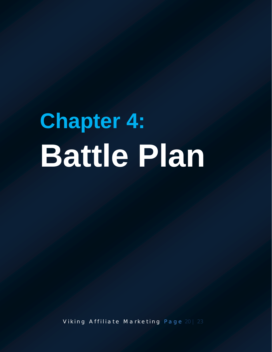### **Chapter 4: Battle Plan**

Viking Affiliate Marketing Page 20 | 23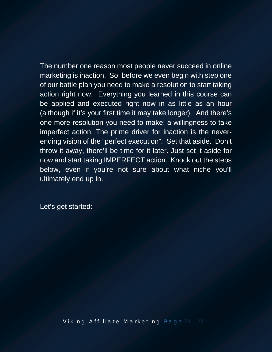The number one reason most people never succeed in online marketing is inaction. So, before we even begin with step one of our battle plan you need to make a resolution to start taking action right now. Everything you learned in this course can be applied and executed right now in as little as an hour (although if it's your first time it may take longer). And there's one more resolution you need to make: a willingness to take imperfect action. The prime driver for inaction is the neverending vision of the "perfect execution". Set that aside. Don't throw it away, there'll be time for it later. Just set it aside for now and start taking IMPERFECT action. Knock out the steps below, even if you're not sure about what niche you'll ultimately end up in.

Let's get started: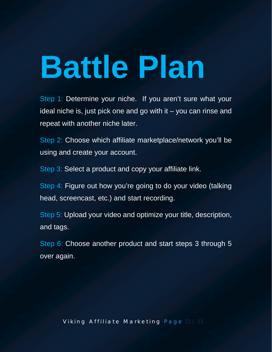## **Battle Plan**

Step 1: Determine your niche. If you aren't sure what your ideal niche is, just pick one and go with it  $-$  you can rinse and repeat with another niche later.

Step 2: Choose which affiliate marketplace/network you'll be using and create your account.

Step 3: Select a product and copy your affiliate link.

Step 4: Figure out how you're going to do your video (talking head, screencast, etc.) and start recording.

Step 5: Upload your video and optimize your title, description, and tags.

Step 6: Choose another product and start steps 3 through 5 over again.